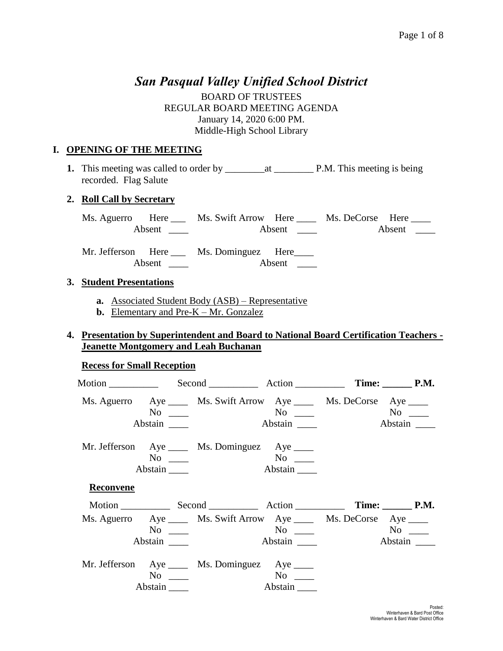# *San Pasqual Valley Unified School District*

BOARD OF TRUSTEES REGULAR BOARD MEETING AGENDA January 14, 2020 6:00 PM. Middle-High School Library

#### **I. OPENING OF THE MEETING**

**1.** This meeting was called to order by \_\_\_\_\_\_\_\_at \_\_\_\_\_\_\_\_ P.M. This meeting is being recorded. Flag Salute

#### **2. Roll Call by Secretary**

| Ms. Aguerro Here |        | Ms. Swift Arrow Here |               | Ms. DeCorse Here |        |
|------------------|--------|----------------------|---------------|------------------|--------|
|                  | Absent |                      | <b>Absent</b> |                  | Absent |

Mr. Jefferson Here \_\_\_ Ms. Dominguez Here\_\_\_\_ Absent Absent

#### **3. Student Presentations**

- **a.** Associated Student Body (ASB) Representative
- **b.** Elementary and Pre-K Mr. Gonzalez

#### **4. Presentation by Superintendent and Board to National Board Certification Teachers - Jeanette Montgomery and Leah Buchanan**

#### **Recess for Small Reception**

|                  | $No \_\_$<br>Abstain | Ms. Aguerro Aye _____ Ms. Swift Arrow Aye _____ Ms. DeCorse Aye ____<br>$\mathbf{N}\mathbf{o}$ and $\mathbf{N}\mathbf{o}$ and $\mathbf{N}\mathbf{o}$ and $\mathbf{N}\mathbf{o}$ and $\mathbf{N}\mathbf{o}$ and $\mathbf{N}\mathbf{o}$ and $\mathbf{N}\mathbf{o}$ and $\mathbf{N}\mathbf{o}$ and $\mathbf{N}\mathbf{o}$ and $\mathbf{N}\mathbf{o}$ and $\mathbf{N}\mathbf{o}$ and $\mathbf{N}\mathbf{o}$ and $\mathbf{N}\mathbf{o}$ and | Abstain                                                    | Abstain |  |
|------------------|----------------------|----------------------------------------------------------------------------------------------------------------------------------------------------------------------------------------------------------------------------------------------------------------------------------------------------------------------------------------------------------------------------------------------------------------------------------------|------------------------------------------------------------|---------|--|
|                  | $No \ \_$<br>Abstain | Mr. Jefferson Aye _____ Ms. Dominguez Aye _____<br>Abstain                                                                                                                                                                                                                                                                                                                                                                             |                                                            |         |  |
| <b>Reconvene</b> |                      |                                                                                                                                                                                                                                                                                                                                                                                                                                        |                                                            |         |  |
|                  |                      |                                                                                                                                                                                                                                                                                                                                                                                                                                        |                                                            |         |  |
|                  | $No \_\_$<br>Abstain | Ms. Aguerro Aye ______ Ms. Swift Arrow Aye ______ Ms. DeCorse Aye _____                                                                                                                                                                                                                                                                                                                                                                | $\overline{\text{No}}$ $\overline{\phantom{0}}$<br>Abstain |         |  |
|                  | $No \t —$<br>Abstain | Mr. Jefferson Aye _____ Ms. Dominguez Aye ____<br>Abstain                                                                                                                                                                                                                                                                                                                                                                              |                                                            |         |  |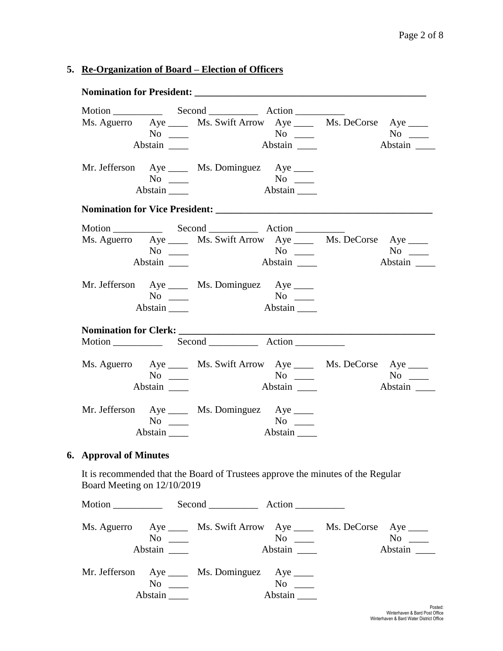#### **5. Re-Organization of Board – Election of Officers**

|                               |           | Ms. Aguerro Aye ______ Ms. Swift Arrow Aye ______ Ms. DeCorse Aye _____         |           |
|-------------------------------|-----------|---------------------------------------------------------------------------------|-----------|
|                               | $No \ \_$ |                                                                                 | $No \ \_$ |
|                               | Abstain   | Abstain $\frac{1}{\sqrt{1-\frac{1}{2}}}\right $                                 |           |
|                               |           | Mr. Jefferson Aye _____ Ms. Dominguez Aye ____                                  |           |
|                               | $No \ \_$ |                                                                                 |           |
|                               | Abstain   |                                                                                 |           |
|                               |           |                                                                                 |           |
|                               |           |                                                                                 |           |
|                               |           | Ms. Aguerro Aye _____ Ms. Swift Arrow Aye _____ Ms. DeCorse Aye ____            |           |
|                               | $No \_\_$ | $\overline{N_0}$ $\overline{\phantom{0}}$                                       |           |
|                               | Abstain   | Abstain                                                                         | Abstain   |
|                               |           | Mr. Jefferson Aye _____ Ms. Dominguez Aye _____                                 |           |
|                               | $No \ \_$ |                                                                                 |           |
|                               | Abstain   | Abstain                                                                         |           |
|                               |           |                                                                                 |           |
|                               |           |                                                                                 |           |
|                               |           |                                                                                 |           |
|                               |           | Ms. Aguerro Aye _____ Ms. Swift Arrow Aye _____ Ms. DeCorse Aye ____            |           |
|                               | $No \ \_$ | $No \_$                                                                         | $No \_$   |
|                               |           | Abstain                                                                         |           |
|                               |           | Mr. Jefferson Aye _____ Ms. Dominguez Aye _____                                 | Abstain   |
|                               | $No \ \_$ | $\overline{N_0}$ $\overline{\phantom{0}}$                                       |           |
|                               | Abstain   | Abstain                                                                         |           |
| <b>6. Approval of Minutes</b> |           |                                                                                 |           |
| Board Meeting on 12/10/2019   |           | It is recommended that the Board of Trustees approve the minutes of the Regular |           |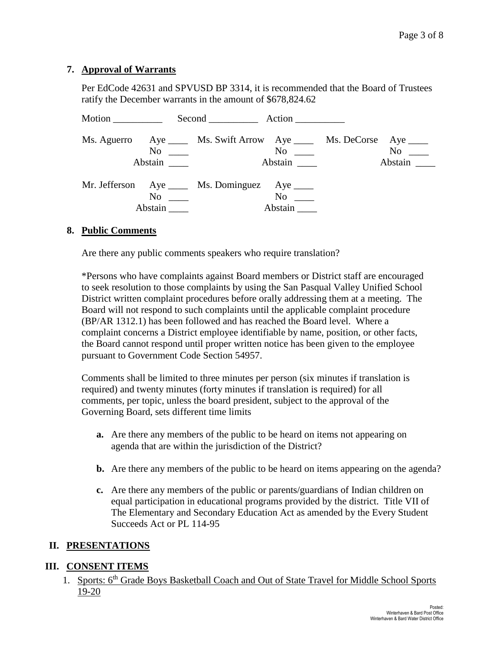### **7. Approval of Warrants**

Per EdCode 42631 and SPVUSD BP 3314, it is recommended that the Board of Trustees ratify the December warrants in the amount of \$678,824.62

| Motion |                          | Second Action                                                                                         |                                                        |                      |
|--------|--------------------------|-------------------------------------------------------------------------------------------------------|--------------------------------------------------------|----------------------|
|        | Abstain                  | Ms. Aguerro Aye _____ Ms. Swift Arrow Aye _____ Ms. DeCorse Aye ____<br>$\overline{N}$ $\overline{N}$ | $\overline{N}$ o $\overline{\phantom{nnn}}$<br>Abstain | $No \t —$<br>Abstain |
|        | $\mathbf{No}$<br>Abstain | Mr. Jefferson Aye _____ Ms. Dominguez Aye _____                                                       | No<br>Abstain                                          |                      |

#### **8. Public Comments**

Are there any public comments speakers who require translation?

\*Persons who have complaints against Board members or District staff are encouraged to seek resolution to those complaints by using the San Pasqual Valley Unified School District written complaint procedures before orally addressing them at a meeting. The Board will not respond to such complaints until the applicable complaint procedure (BP/AR 1312.1) has been followed and has reached the Board level. Where a complaint concerns a District employee identifiable by name, position, or other facts, the Board cannot respond until proper written notice has been given to the employee pursuant to Government Code Section 54957.

Comments shall be limited to three minutes per person (six minutes if translation is required) and twenty minutes (forty minutes if translation is required) for all comments, per topic, unless the board president, subject to the approval of the Governing Board, sets different time limits

- **a.** Are there any members of the public to be heard on items not appearing on agenda that are within the jurisdiction of the District?
- **b.** Are there any members of the public to be heard on items appearing on the agenda?
- **c.** Are there any members of the public or parents/guardians of Indian children on equal participation in educational programs provided by the district. Title VII of The Elementary and Secondary Education Act as amended by the Every Student Succeeds Act or PL 114-95

#### **II. PRESENTATIONS**

# **III. CONSENT ITEMS**

1. Sports: 6<sup>th</sup> Grade Boys Basketball Coach and Out of State Travel for Middle School Sports 19-20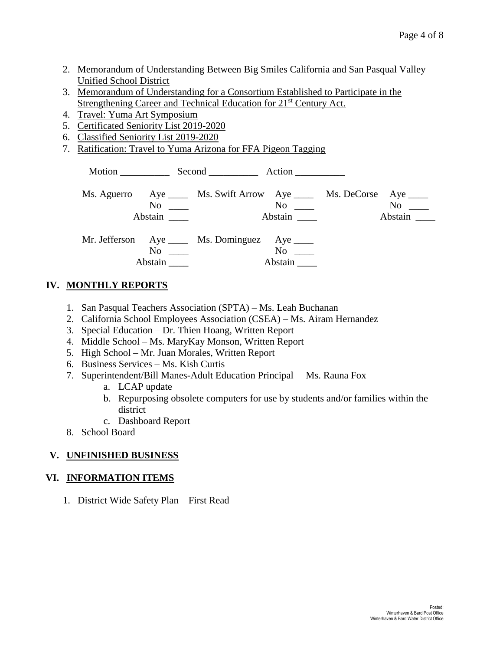- 2. Memorandum of Understanding Between Big Smiles California and San Pasqual Valley Unified School District
- 3. Memorandum of Understanding for a Consortium Established to Participate in the Strengthening Career and Technical Education for 21<sup>st</sup> Century Act.
- 4. Travel: Yuma Art Symposium
- 5. Certificated Seniority List 2019-2020
- 6. Classified Seniority List 2019-2020
- 7. Ratification: Travel to Yuma Arizona for FFA Pigeon Tagging

|         | Motion Second Action                                                                           |                      |                                           |                  |
|---------|------------------------------------------------------------------------------------------------|----------------------|-------------------------------------------|------------------|
| Abstain | Ms. Aguerro Aye _____ Ms. Swift Arrow Aye _____ Ms. DeCorse Aye ____<br>$\overline{\text{No}}$ | Abstain              | $\overline{N}$ o $\overline{\phantom{0}}$ | No no<br>Abstain |
| Abstain | Mr. Jefferson Aye _____ Ms. Dominguez Aye ____<br>$\rm No$                                     | $No \_\_$<br>Abstain |                                           |                  |

# **IV. MONTHLY REPORTS**

- 1. San Pasqual Teachers Association (SPTA) Ms. Leah Buchanan
- 2. California School Employees Association (CSEA) Ms. Airam Hernandez
- 3. Special Education Dr. Thien Hoang, Written Report
- 4. Middle School Ms. MaryKay Monson, Written Report
- 5. High School Mr. Juan Morales, Written Report
- 6. Business Services Ms. Kish Curtis
- 7. Superintendent/Bill Manes-Adult Education Principal Ms. Rauna Fox
	- a. LCAP update
	- b. Repurposing obsolete computers for use by students and/or families within the district
	- c. Dashboard Report
- 8. School Board

# **V. UNFINISHED BUSINESS**

# **VI. INFORMATION ITEMS**

1. District Wide Safety Plan – First Read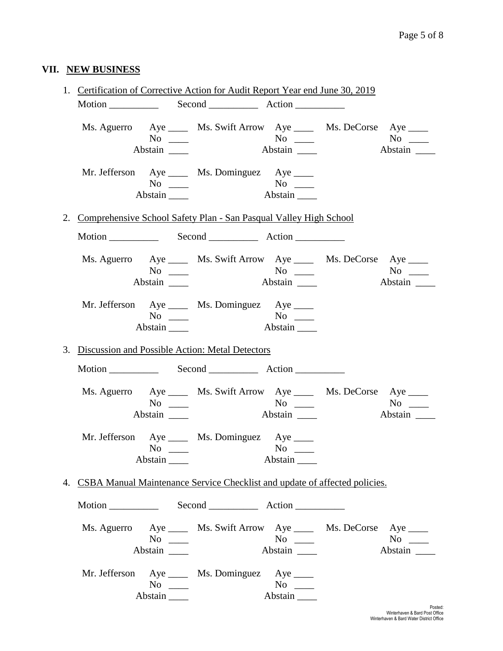# **VII. NEW BUSINESS**

| 1. Certification of Corrective Action for Audit Report Year end June 30, 2019 |                                  |                                                                                                                                                                                                                                                                             |                      |                      |
|-------------------------------------------------------------------------------|----------------------------------|-----------------------------------------------------------------------------------------------------------------------------------------------------------------------------------------------------------------------------------------------------------------------------|----------------------|----------------------|
|                                                                               |                                  |                                                                                                                                                                                                                                                                             |                      |                      |
|                                                                               | $No \ \_$                        | Ms. Aguerro Aye _____ Ms. Swift Arrow Aye _____ Ms. DeCorse Aye ____                                                                                                                                                                                                        |                      | $No \ \_$<br>Abstain |
|                                                                               | $No \ \_$<br>Abstain $\_\_\_\_\$ | Mr. Jefferson Aye _____ Ms. Dominguez Aye _____                                                                                                                                                                                                                             |                      |                      |
| 2. Comprehensive School Safety Plan - San Pasqual Valley High School          |                                  |                                                                                                                                                                                                                                                                             |                      |                      |
|                                                                               |                                  |                                                                                                                                                                                                                                                                             |                      |                      |
|                                                                               | $No \ \_$<br>Abstain             | Ms. Aguerro Aye _____ Ms. Swift Arrow Aye _____ Ms. DeCorse Aye ____                                                                                                                                                                                                        |                      | $No \ \_$<br>Abstain |
|                                                                               | $No \ \_$<br>Abstain $\_\_\_\_\$ | Mr. Jefferson Aye _____ Ms. Dominguez Aye _____                                                                                                                                                                                                                             | Abstain              |                      |
| 3. Discussion and Possible Action: Metal Detectors                            |                                  |                                                                                                                                                                                                                                                                             |                      |                      |
|                                                                               |                                  |                                                                                                                                                                                                                                                                             |                      |                      |
|                                                                               | $No \ \_$<br>Abstain _______     | Ms. Aguerro Aye _____ Ms. Swift Arrow Aye _____ Ms. DeCorse Aye ____                                                                                                                                                                                                        | $No \ \_$            | $No \_\_$            |
|                                                                               | N <sub>0</sub><br>Abstain        | Mr. Jefferson Aye Ms. Dominguez Aye<br><u> The Community of the Community of the Community of the Community of the Community of the Community of the Community of the Community of the Community of the Community of the Community of the Community of the Community of</u> | No<br>Abstain        |                      |
| 4. CSBA Manual Maintenance Service Checklist and update of affected policies. |                                  |                                                                                                                                                                                                                                                                             |                      |                      |
|                                                                               |                                  |                                                                                                                                                                                                                                                                             |                      |                      |
|                                                                               | $No \ \_$<br>Abstain             | Ms. Aguerro Aye ______ Ms. Swift Arrow Aye ______ Ms. DeCorse Aye _____                                                                                                                                                                                                     | $No \ \_$<br>Abstain | $No \ \_$<br>Abstain |
|                                                                               | $No \ \_$<br>Abstain             | Mr. Jefferson Aye _____ Ms. Dominguez Aye _____                                                                                                                                                                                                                             | $No \_$<br>Abstain   |                      |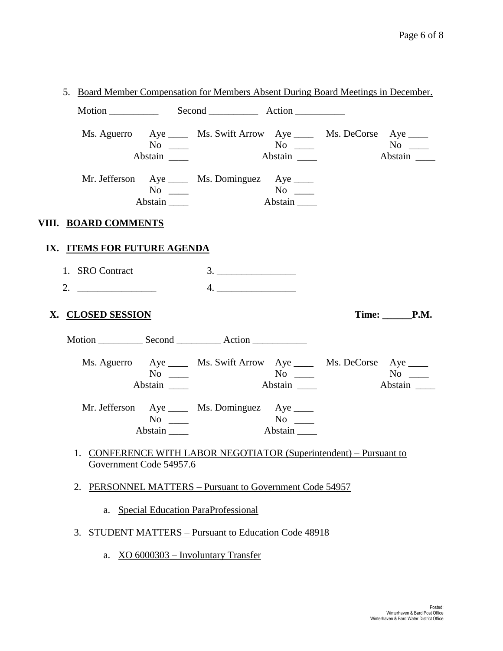|                                                                                                                                                                                                                                                                                                                        |                                                      | 5. Board Member Compensation for Members Absent During Board Meetings in December. |                      |              |                   |
|------------------------------------------------------------------------------------------------------------------------------------------------------------------------------------------------------------------------------------------------------------------------------------------------------------------------|------------------------------------------------------|------------------------------------------------------------------------------------|----------------------|--------------|-------------------|
|                                                                                                                                                                                                                                                                                                                        |                                                      |                                                                                    |                      |              |                   |
|                                                                                                                                                                                                                                                                                                                        | $\overline{N_0}$ $\overline{\phantom{0}}$<br>Abstain | Ms. Aguerro Aye _____ Ms. Swift Arrow Aye _____ Ms. DeCorse Aye ____               |                      | $N$ o        | Abstain           |
|                                                                                                                                                                                                                                                                                                                        | $No \ \_$<br>Abstain                                 | Mr. Jefferson Aye _____ Ms. Dominguez Aye _____<br>No<br>Abstain                   |                      |              |                   |
| VIII. BOARD COMMENTS                                                                                                                                                                                                                                                                                                   |                                                      |                                                                                    |                      |              |                   |
| IX. ITEMS FOR FUTURE AGENDA                                                                                                                                                                                                                                                                                            |                                                      |                                                                                    |                      |              |                   |
| 1. SRO Contract                                                                                                                                                                                                                                                                                                        |                                                      |                                                                                    |                      |              |                   |
| 2. $\frac{1}{2}$ $\frac{1}{2}$ $\frac{1}{2}$ $\frac{1}{2}$ $\frac{1}{2}$ $\frac{1}{2}$ $\frac{1}{2}$ $\frac{1}{2}$ $\frac{1}{2}$ $\frac{1}{2}$ $\frac{1}{2}$ $\frac{1}{2}$ $\frac{1}{2}$ $\frac{1}{2}$ $\frac{1}{2}$ $\frac{1}{2}$ $\frac{1}{2}$ $\frac{1}{2}$ $\frac{1}{2}$ $\frac{1}{2}$ $\frac{1}{2}$ $\frac{1}{2}$ |                                                      | 4.                                                                                 |                      |              |                   |
| X. CLOSED SESSION                                                                                                                                                                                                                                                                                                      |                                                      |                                                                                    |                      |              | Time: <b>P.M.</b> |
|                                                                                                                                                                                                                                                                                                                        |                                                      |                                                                                    |                      |              |                   |
|                                                                                                                                                                                                                                                                                                                        |                                                      |                                                                                    |                      |              |                   |
|                                                                                                                                                                                                                                                                                                                        | $No \ \_$<br>Abstain                                 | Ms. Aguerro Aye ______ Ms. Swift Arrow Aye ______ Ms. DeCorse Aye _____            | $No \ \_$<br>Abstain | $N$ o $\_\_$ | Abstain           |
|                                                                                                                                                                                                                                                                                                                        | $No \ \_$<br>Abstain $\_\_\_\_\$                     | Mr. Jefferson Aye _____ Ms. Dominguez Aye _____                                    | Abstain              |              |                   |
|                                                                                                                                                                                                                                                                                                                        | Government Code 54957.6                              | 1. CONFERENCE WITH LABOR NEGOTIATOR (Superintendent) - Pursuant to                 |                      |              |                   |
|                                                                                                                                                                                                                                                                                                                        |                                                      | 2. PERSONNEL MATTERS – Pursuant to Government Code 54957                           |                      |              |                   |
|                                                                                                                                                                                                                                                                                                                        |                                                      | a. Special Education ParaProfessional                                              |                      |              |                   |
|                                                                                                                                                                                                                                                                                                                        |                                                      | 3. STUDENT MATTERS – Pursuant to Education Code 48918                              |                      |              |                   |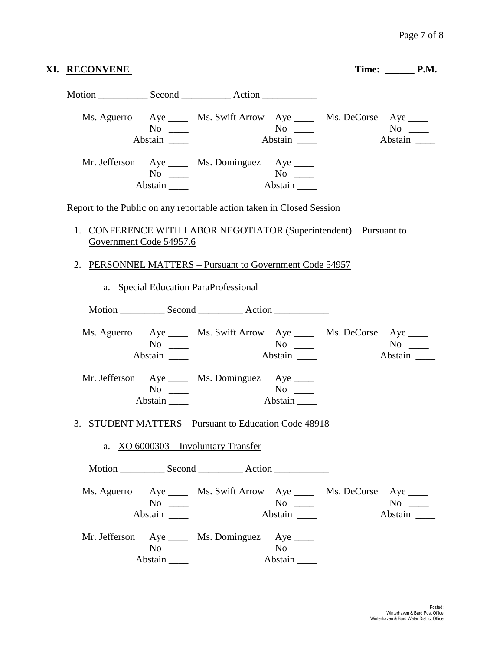| XI. <u>RECONVENE</u> |                                |                                                                                                                                                                                                         |                      | $Time:$ $P.M.$       |  |
|----------------------|--------------------------------|---------------------------------------------------------------------------------------------------------------------------------------------------------------------------------------------------------|----------------------|----------------------|--|
|                      |                                |                                                                                                                                                                                                         |                      |                      |  |
|                      | $No \ \_$                      | Ms. Aguerro Aye _____ Ms. Swift Arrow Aye _____ Ms. DeCorse Aye ____                                                                                                                                    | $N$ o<br>Abstain     | Abstain              |  |
|                      | $No \ \_$<br>Abstain           | Mr. Jefferson Aye _____ Ms. Dominguez Aye _____                                                                                                                                                         | Abstain              |                      |  |
|                      | Government Code 54957.6        | Report to the Public on any reportable action taken in Closed Session<br>1. CONFERENCE WITH LABOR NEGOTIATOR (Superintendent) – Pursuant to<br>2. PERSONNEL MATTERS - Pursuant to Government Code 54957 |                      |                      |  |
|                      |                                | a. Special Education ParaProfessional                                                                                                                                                                   |                      |                      |  |
|                      | $No \ \_$<br>Abstain           | Ms. Aguerro Aye _____ Ms. Swift Arrow Aye _____ Ms. DeCorse Aye ____                                                                                                                                    | Abstain              | $No \ \_$<br>Abstain |  |
|                      | $No \ \_$<br>Abstain $\_\_\_\$ | Mr. Jefferson Aye _____ Ms. Dominguez Aye _____                                                                                                                                                         | $N$ o<br>Abstain     |                      |  |
|                      |                                | 3. STUDENT MATTERS - Pursuant to Education Code 48918<br>a. XO 6000303 – Involuntary Transfer                                                                                                           |                      |                      |  |
|                      |                                |                                                                                                                                                                                                         |                      |                      |  |
|                      | $No \ \_$                      | Ms. Aguerro Aye _____ Ms. Swift Arrow Aye _____ Ms. DeCorse Aye ____                                                                                                                                    | $No \ \_$<br>Abstain | $No \ \_$<br>Abstain |  |
|                      | $No \ \_$<br>Abstain           | Mr. Jefferson Aye _____ Ms. Dominguez Aye _____                                                                                                                                                         | $No \ \_$<br>Abstain |                      |  |